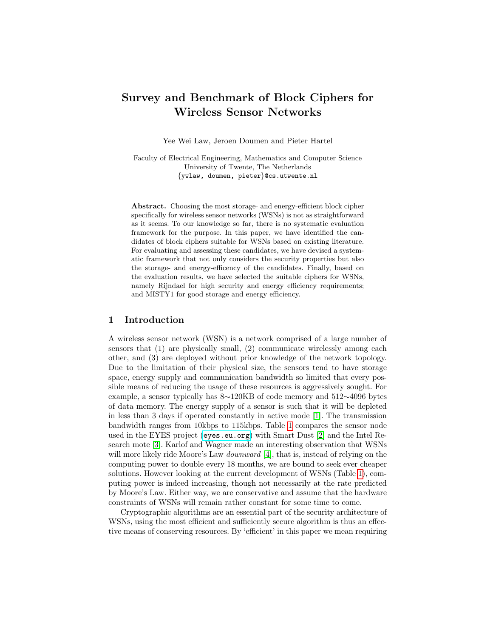# Survey and Benchmark of Block Ciphers for Wireless Sensor Networks

Yee Wei Law, Jeroen Doumen and Pieter Hartel

Faculty of Electrical Engineering, Mathematics and Computer Science University of Twente, The Netherlands {ywlaw, doumen, pieter}@cs.utwente.nl

Abstract. Choosing the most storage- and energy-efficient block cipher specifically for wireless sensor networks (WSNs) is not as straightforward as it seems. To our knowledge so far, there is no systematic evaluation framework for the purpose. In this paper, we have identified the candidates of block ciphers suitable for WSNs based on existing literature. For evaluating and assessing these candidates, we have devised a systematic framework that not only considers the security properties but also the storage- and energy-efficency of the candidates. Finally, based on the evaluation results, we have selected the suitable ciphers for WSNs, namely Rijndael for high security and energy efficiency requirements; and MISTY1 for good storage and energy efficiency.

# 1 Introduction

A wireless sensor network (WSN) is a network comprised of a large number of sensors that (1) are physically small, (2) communicate wirelessly among each other, and (3) are deployed without prior knowledge of the network topology. Due to the limitation of their physical size, the sensors tend to have storage space, energy supply and communication bandwidth so limited that every possible means of reducing the usage of these resources is aggressively sought. For example, a sensor typically has 8∼120KB of code memory and 512∼4096 bytes of data memory. The energy supply of a sensor is such that it will be depleted in less than 3 days if operated constantly in active mode [\[1\]](#page-15-0). The transmission bandwidth ranges from 10kbps to 115kbps. Table [1](#page-1-0) compares the sensor node used in the EYES project (<eyes.eu.org>) with Smart Dust [\[2\]](#page-16-0) and the Intel Research mote [\[3\]](#page-16-1). Karlof and Wagner made an interesting observation that WSNs will more likely ride Moore's Law *downward* [\[4\]](#page-16-2), that is, instead of relying on the computing power to double every 18 months, we are bound to seek ever cheaper solutions. However looking at the current development of WSNs (Table [1\)](#page-1-0), computing power is indeed increasing, though not necessarily at the rate predicted by Moore's Law. Either way, we are conservative and assume that the hardware constraints of WSNs will remain rather constant for some time to come.

Cryptographic algorithms are an essential part of the security architecture of WSNs, using the most efficient and sufficiently secure algorithm is thus an effective means of conserving resources. By 'efficient' in this paper we mean requiring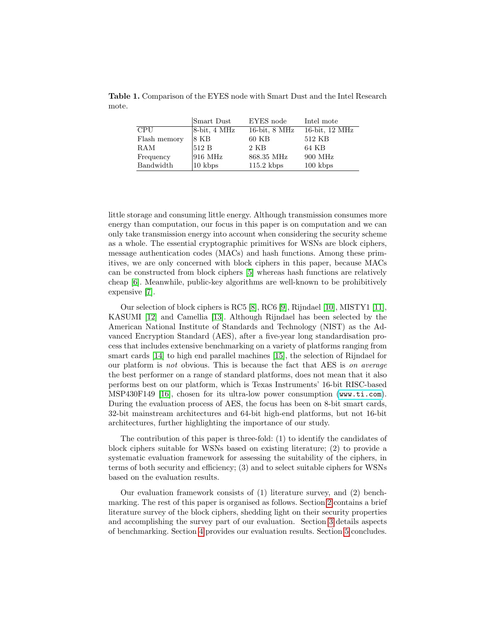Table 1. Comparison of the EYES node with Smart Dust and the Intel Research mote.

<span id="page-1-0"></span>

|              | Smart Dust         | EYES node          | Intel mote                  |
|--------------|--------------------|--------------------|-----------------------------|
| <b>CPU</b>   | $8-bit, 4 MHz$     | $16$ -bit, $8$ MHz | $16$ -bit, $12 \text{ MHz}$ |
| Flash memory | $ 8 \text{ KB} $   | $60$ KB            | 512 KB                      |
| RAM          | 512B               | 2 KB               | 64 KB                       |
| Frequency    | $916$ MHz          | 868.35 MHz         | 900 MHz                     |
| Bandwidth    | $ 10 \rangle$ kbps | $115.2$ kbps       | $100 \;$ kbps               |

little storage and consuming little energy. Although transmission consumes more energy than computation, our focus in this paper is on computation and we can only take transmission energy into account when considering the security scheme as a whole. The essential cryptographic primitives for WSNs are block ciphers, message authentication codes (MACs) and hash functions. Among these primitives, we are only concerned with block ciphers in this paper, because MACs can be constructed from block ciphers [\[5\]](#page-16-3) whereas hash functions are relatively cheap [\[6\]](#page-16-4). Meanwhile, public-key algorithms are well-known to be prohibitively expensive [\[7\]](#page-16-5).

Our selection of block ciphers is RC5 [\[8\]](#page-16-6), RC6 [\[9\]](#page-16-7), Rijndael [\[10\]](#page-16-8), MISTY1 [\[11\]](#page-16-9), KASUMI [\[12\]](#page-16-10) and Camellia [\[13\]](#page-16-11). Although Rijndael has been selected by the American National Institute of Standards and Technology (NIST) as the Advanced Encryption Standard (AES), after a five-year long standardisation process that includes extensive benchmarking on a variety of platforms ranging from smart cards [\[14\]](#page-16-12) to high end parallel machines [\[15\]](#page-16-13), the selection of Rijndael for our platform is not obvious. This is because the fact that AES is on average the best performer on a range of standard platforms, does not mean that it also performs best on our platform, which is Texas Instruments' 16-bit RISC-based MSP430F149 [\[16\]](#page-16-14), chosen for its ultra-low power consumption (<www.ti.com>). During the evaluation process of AES, the focus has been on 8-bit smart cards, 32-bit mainstream architectures and 64-bit high-end platforms, but not 16-bit architectures, further highlighting the importance of our study.

The contribution of this paper is three-fold: (1) to identify the candidates of block ciphers suitable for WSNs based on existing literature; (2) to provide a systematic evaluation framework for assessing the suitability of the ciphers, in terms of both security and efficiency; (3) and to select suitable ciphers for WSNs based on the evaluation results.

Our evaluation framework consists of (1) literature survey, and (2) benchmarking. The rest of this paper is organised as follows. Section [2](#page-2-0) contains a brief literature survey of the block ciphers, shedding light on their security properties and accomplishing the survey part of our evaluation. Section [3](#page-7-0) details aspects of benchmarking. Section [4](#page-9-0) provides our evaluation results. Section [5](#page-14-0) concludes.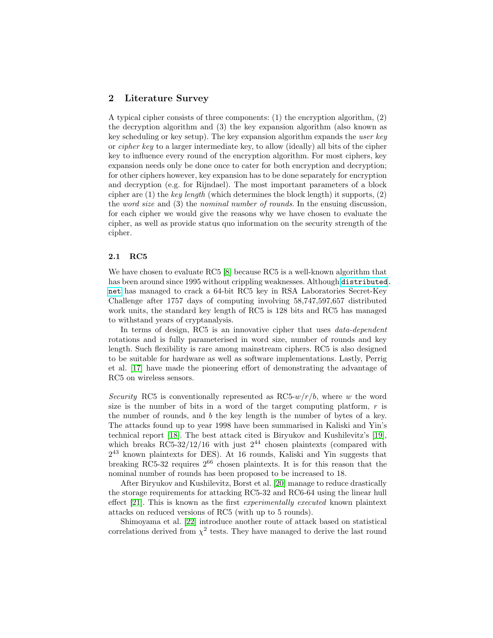# <span id="page-2-0"></span>2 Literature Survey

A typical cipher consists of three components: (1) the encryption algorithm, (2) the decryption algorithm and (3) the key expansion algorithm (also known as key scheduling or key setup). The key expansion algorithm expands the user key or cipher key to a larger intermediate key, to allow (ideally) all bits of the cipher key to influence every round of the encryption algorithm. For most ciphers, key expansion needs only be done once to cater for both encryption and decryption; for other ciphers however, key expansion has to be done separately for encryption and decryption (e.g. for Rijndael). The most important parameters of a block cipher are  $(1)$  the key length (which determines the block length) it supports,  $(2)$ the word size and (3) the nominal number of rounds. In the ensuing discussion, for each cipher we would give the reasons why we have chosen to evaluate the cipher, as well as provide status quo information on the security strength of the cipher.

### 2.1 RC5

We have chosen to evaluate RC5 [\[8\]](#page-16-6) because RC5 is a well-known algorithm that has been around since 1995 without crippling weaknesses. Although [distributed.](distributed.net) [net](distributed.net) has managed to crack a 64-bit RC5 key in RSA Laboratories Secret-Key Challenge after 1757 days of computing involving 58,747,597,657 distributed work units, the standard key length of RC5 is 128 bits and RC5 has managed to withstand years of cryptanalysis.

In terms of design, RC5 is an innovative cipher that uses *data-dependent* rotations and is fully parameterised in word size, number of rounds and key length. Such flexibility is rare among mainstream ciphers. RC5 is also designed to be suitable for hardware as well as software implementations. Lastly, Perrig et al. [\[17\]](#page-16-15) have made the pioneering effort of demonstrating the advantage of RC5 on wireless sensors.

Security RC5 is conventionally represented as  $RC5-w/r/b$ , where w the word size is the number of bits in a word of the target computing platform,  $r$  is the number of rounds, and b the key length is the number of bytes of a key. The attacks found up to year 1998 have been summarised in Kaliski and Yin's technical report [\[18\]](#page-16-16). The best attack cited is Biryukov and Kushilevitz's [\[19\]](#page-16-17), which breaks RC5-32/12/16 with just  $2^{44}$  chosen plaintexts (compared with 2 <sup>43</sup> known plaintexts for DES). At 16 rounds, Kaliski and Yin suggests that breaking RC5-32 requires  $2^{66}$  chosen plaintexts. It is for this reason that the nominal number of rounds has been proposed to be increased to 18.

After Biryukov and Kushilevitz, Borst et al. [\[20\]](#page-16-18) manage to reduce drastically the storage requirements for attacking RC5-32 and RC6-64 using the linear hull effect [\[21\]](#page-17-0). This is known as the first experimentally executed known plaintext attacks on reduced versions of RC5 (with up to 5 rounds).

Shimoyama et al. [\[22\]](#page-17-1) introduce another route of attack based on statistical correlations derived from  $\chi^2$  tests. They have managed to derive the last round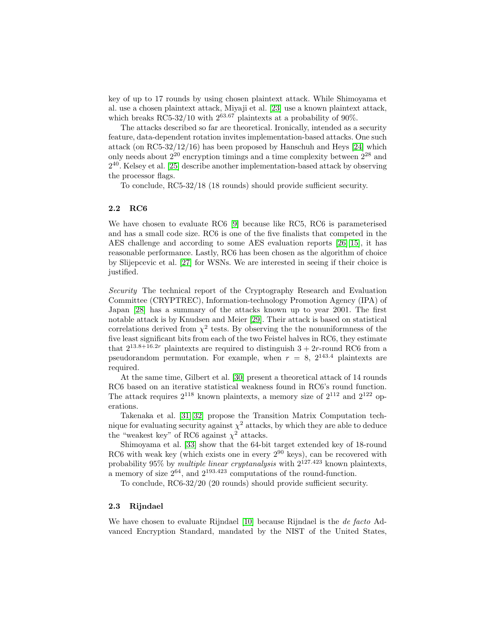key of up to 17 rounds by using chosen plaintext attack. While Shimoyama et al. use a chosen plaintext attack, Miyaji et al. [\[23\]](#page-17-2) use a known plaintext attack, which breaks RC5-32/10 with  $2^{63.67}$  plaintexts at a probability of 90%.

The attacks described so far are theoretical. Ironically, intended as a security feature, data-dependent rotation invites implementation-based attacks. One such attack (on RC5-32/12/16) has been proposed by Hanschuh and Heys [\[24\]](#page-17-3) which only needs about  $2^{20}$  encryption timings and a time complexity between  $2^{28}$  and  $2^{40}$ . Kelsey et al. [\[25\]](#page-17-4) describe another implementation-based attack by observing the processor flags.

To conclude, RC5-32/18 (18 rounds) should provide sufficient security.

## 2.2 RC6

We have chosen to evaluate RC6 [\[9\]](#page-16-7) because like RC5, RC6 is parameterised and has a small code size. RC6 is one of the five finalists that competed in the AES challenge and according to some AES evaluation reports [\[26\]](#page-17-5)[\[15\]](#page-16-13), it has reasonable performance. Lastly, RC6 has been chosen as the algorithm of choice by Slijepcevic et al. [\[27\]](#page-17-6) for WSNs. We are interested in seeing if their choice is justified.

Security The technical report of the Cryptography Research and Evaluation Committee (CRYPTREC), Information-technology Promotion Agency (IPA) of Japan [\[28\]](#page-17-7) has a summary of the attacks known up to year 2001. The first notable attack is by Knudsen and Meier [\[29\]](#page-17-8). Their attack is based on statistical correlations derived from  $\chi^2$  tests. By observing the the nonuniformness of the five least significant bits from each of the two Feistel halves in RC6, they estimate that  $2^{13.8+16.2r}$  plaintexts are required to distinguish  $3+2r$ -round RC6 from a pseudorandom permutation. For example, when  $r = 8$ ,  $2^{143.4}$  plaintexts are required.

At the same time, Gilbert et al. [\[30\]](#page-17-9) present a theoretical attack of 14 rounds RC6 based on an iterative statistical weakness found in RC6's round function. The attack requires  $2^{118}$  known plaintexts, a memory size of  $2^{112}$  and  $2^{122}$  operations.

Takenaka et al. [\[31\]](#page-17-10)[\[32\]](#page-17-11) propose the Transition Matrix Computation technique for evaluating security against  $\chi^2$  attacks, by which they are able to deduce the "weakest key" of RC6 against  $\chi^2$  attacks.

Shimoyama et al. [\[33\]](#page-17-12) show that the 64-bit target extended key of 18-round RC6 with weak key (which exists one in every  $2^{90}$  keys), can be recovered with probability 95% by multiple linear cryptanalysis with  $2^{127.423}$  known plaintexts, a memory of size  $2^{64}$ , and  $2^{193.423}$  computations of the round-function.

To conclude, RC6-32/20 (20 rounds) should provide sufficient security.

#### 2.3 Rijndael

We have chosen to evaluate Rijndael [\[10\]](#page-16-8) because Rijndael is the *de facto* Advanced Encryption Standard, mandated by the NIST of the United States,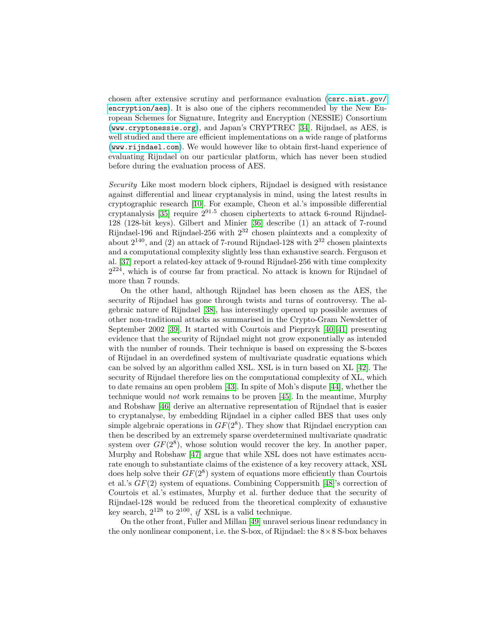chosen after extensive scrutiny and performance evaluation ([csrc.nist.gov/](csrc.nist.gov/encryption/aes) [encryption/aes](csrc.nist.gov/encryption/aes)). It is also one of the ciphers recommended by the New European Schemes for Signature, Integrity and Encryption (NESSIE) Consortium (<www.cryptonessie.org>), and Japan's CRYPTREC [\[34\]](#page-17-13). Rijndael, as AES, is well studied and there are efficient implementations on a wide range of platforms (<www.rijndael.com>). We would however like to obtain first-hand experience of evaluating Rijndael on our particular platform, which has never been studied before during the evaluation process of AES.

Security Like most modern block ciphers, Rijndael is designed with resistance against differential and linear cryptanalysis in mind, using the latest results in cryptographic research [\[10\]](#page-16-8). For example, Cheon et al.'s impossible differential cryptanalysis [\[35\]](#page-17-14) require  $2^{91.5}$  chosen ciphertexts to attack 6-round Rijndael-128 (128-bit keys). Gilbert and Minier [\[36\]](#page-17-15) describe (1) an attack of 7-round Rijndael-196 and Rijndael-256 with 2<sup>32</sup> chosen plaintexts and a complexity of about  $2^{140}$ , and (2) an attack of 7-round Rijndael-128 with  $2^{32}$  chosen plaintexts and a computational complexity slightly less than exhaustive search. Ferguson et al. [\[37\]](#page-18-0) report a related-key attack of 9-round Rijndael-256 with time complexity  $2^{224}$ , which is of course far from practical. No attack is known for Rijndael of more than 7 rounds.

On the other hand, although Rijndael has been chosen as the AES, the security of Rijndael has gone through twists and turns of controversy. The algebraic nature of Rijndael [\[38\]](#page-18-1), has interestingly opened up possible avenues of other non-traditional attacks as summarised in the Crypto-Gram Newsletter of September 2002 [\[39\]](#page-18-2). It started with Courtois and Pieprzyk [\[40\]](#page-18-3)[\[41\]](#page-18-4) presenting evidence that the security of Rijndael might not grow exponentially as intended with the number of rounds. Their technique is based on expressing the S-boxes of Rijndael in an overdefined system of multivariate quadratic equations which can be solved by an algorithm called XSL. XSL is in turn based on XL [\[42\]](#page-18-5). The security of Rijndael therefore lies on the computational complexity of XL, which to date remains an open problem [\[43\]](#page-18-6). In spite of Moh's dispute [\[44\]](#page-18-7), whether the technique would not work remains to be proven [\[45\]](#page-18-8). In the meantime, Murphy and Robshaw [\[46\]](#page-18-9) derive an alternative representation of Rijndael that is easier to cryptanalyse, by embedding Rijndael in a cipher called BES that uses only simple algebraic operations in  $GF(2^8)$ . They show that Rijndael encryption can then be described by an extremely sparse overdetermined multivariate quadratic system over  $GF(2^8)$ , whose solution would recover the key. In another paper, Murphy and Robshaw [\[47\]](#page-18-10) argue that while XSL does not have estimates accurate enough to substantiate claims of the existence of a key recovery attack, XSL does help solve their  $GF(2^8)$  system of equations more efficiently than Courtois et al.'s GF(2) system of equations. Combining Coppersmith [\[48\]](#page-18-11)'s correction of Courtois et al.'s estimates, Murphy et al. further deduce that the security of Rijndael-128 would be reduced from the theoretical complexity of exhaustive key search,  $2^{128}$  to  $2^{100}$ , if XSL is a valid technique.

On the other front, Fuller and Millan [\[49\]](#page-18-12) unravel serious linear redundancy in the only nonlinear component, i.e. the S-box, of Rijndael: the  $8\times 8$  S-box behaves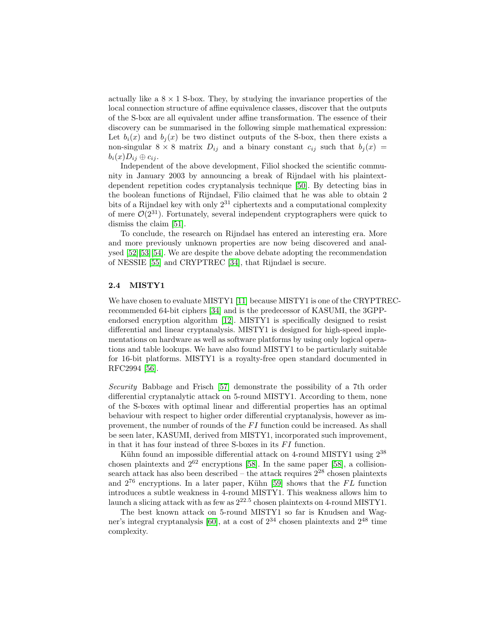actually like a  $8 \times 1$  S-box. They, by studying the invariance properties of the local connection structure of affine equivalence classes, discover that the outputs of the S-box are all equivalent under affine transformation. The essence of their discovery can be summarised in the following simple mathematical expression: Let  $b_i(x)$  and  $b_j(x)$  be two distinct outputs of the S-box, then there exists a non-singular  $8 \times 8$  matrix  $D_{ij}$  and a binary constant  $c_{ij}$  such that  $b_i(x)$  $b_i(x)D_{ij} \oplus c_{ij}$ .

Independent of the above development, Filiol shocked the scientific community in January 2003 by announcing a break of Rijndael with his plaintextdependent repetition codes cryptanalysis technique [\[50\]](#page-18-13). By detecting bias in the boolean functions of Rijndael, Filio claimed that he was able to obtain 2 bits of a Rijndael key with only  $2^{31}$  ciphertexts and a computational complexity of mere  $\mathcal{O}(2^{31})$ . Fortunately, several independent cryptographers were quick to dismiss the claim [\[51\]](#page-18-14).

To conclude, the research on Rijndael has entered an interesting era. More and more previously unknown properties are now being discovered and analysed [\[52\]](#page-18-15)[\[53\]](#page-18-16)[\[54\]](#page-18-17). We are despite the above debate adopting the recommendation of NESSIE [\[55\]](#page-18-18) and CRYPTREC [\[34\]](#page-17-13), that Rijndael is secure.

## 2.4 MISTY1

We have chosen to evaluate MISTY1 [\[11\]](#page-16-9) because MISTY1 is one of the CRYPTRECrecommended 64-bit ciphers [\[34\]](#page-17-13) and is the predecessor of KASUMI, the 3GPPendorsed encryption algorithm [\[12\]](#page-16-10). MISTY1 is specifically designed to resist differential and linear cryptanalysis. MISTY1 is designed for high-speed implementations on hardware as well as software platforms by using only logical operations and table lookups. We have also found MISTY1 to be particularly suitable for 16-bit platforms. MISTY1 is a royalty-free open standard documented in RFC2994 [\[56\]](#page-19-0).

Security Babbage and Frisch [\[57\]](#page-19-1) demonstrate the possibility of a 7th order differential cryptanalytic attack on 5-round MISTY1. According to them, none of the S-boxes with optimal linear and differential properties has an optimal behaviour with respect to higher order differential cryptanalysis, however as improvement, the number of rounds of the  $FI$  function could be increased. As shall be seen later, KASUMI, derived from MISTY1, incorporated such improvement, in that it has four instead of three S-boxes in its  $FI$  function.

Kühn found an impossible differential attack on 4-round MISTY1 using  $2^{38}$ chosen plaintexts and  $2^{62}$  encryptions [\[58\]](#page-19-2). In the same paper [58], a collisionsearch attack has also been described – the attack requires  $2^{28}$  chosen plaintexts and  $2^{76}$  encryptions. In a later paper, Kühn [\[59\]](#page-19-3) shows that the FL function introduces a subtle weakness in 4-round MISTY1. This weakness allows him to launch a slicing attack with as few as  $2^{22.5}$  chosen plaintexts on 4-round MISTY1.

The best known attack on 5-round MISTY1 so far is Knudsen and Wag-ner's integral cryptanalysis [\[60\]](#page-19-4), at a cost of  $2^{34}$  chosen plaintexts and  $2^{48}$  time complexity.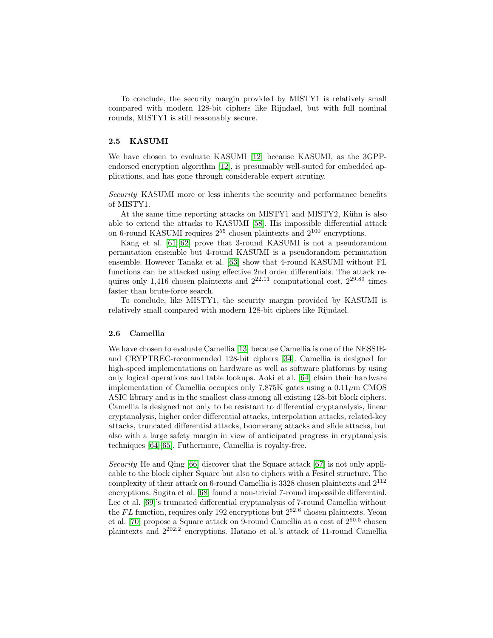To conclude, the security margin provided by MISTY1 is relatively small compared with modern 128-bit ciphers like Rijndael, but with full nominal rounds, MISTY1 is still reasonably secure.

### 2.5 KASUMI

We have chosen to evaluate KASUMI [\[12\]](#page-16-10) because KASUMI, as the 3GPPendorsed encryption algorithm [\[12\]](#page-16-10), is presumably well-suited for embedded applications, and has gone through considerable expert scrutiny.

Security KASUMI more or less inherits the security and performance benefits of MISTY1.

At the same time reporting attacks on MISTY1 and MISTY2, Kühn is also able to extend the attacks to KASUMI [\[58\]](#page-19-2). His impossible differential attack on 6-round KASUMI requires  $2^{55}$  chosen plaintexts and  $2^{100}$  encryptions.

Kang et al. [\[61\]](#page-19-5)[\[62\]](#page-19-6) prove that 3-round KASUMI is not a pseudorandom permutation ensemble but 4-round KASUMI is a pseudorandom permutation ensemble. However Tanaka et al. [\[63\]](#page-19-7) show that 4-round KASUMI without FL functions can be attacked using effective 2nd order differentials. The attack requires only 1,416 chosen plaintexts and  $2^{22.11}$  computational cost,  $2^{29.89}$  times faster than brute-force search.

To conclude, like MISTY1, the security margin provided by KASUMI is relatively small compared with modern 128-bit ciphers like Rijndael.

### 2.6 Camellia

We have chosen to evaluate Camellia [\[13\]](#page-16-11) because Camellia is one of the NESSIEand CRYPTREC-recommended 128-bit ciphers [\[34\]](#page-17-13). Camellia is designed for high-speed implementations on hardware as well as software platforms by using only logical operations and table lookups. Aoki et al. [\[64\]](#page-19-8) claim their hardware implementation of Camellia occupies only 7.875K gates using a  $0.11 \mu m$  CMOS ASIC library and is in the smallest class among all existing 128-bit block ciphers. Camellia is designed not only to be resistant to differential cryptanalysis, linear cryptanalysis, higher order differential attacks, interpolation attacks, related-key attacks, truncated differential attacks, boomerang attacks and slide attacks, but also with a large safety margin in view of anticipated progress in cryptanalysis techniques [\[64\]](#page-19-8)[\[65\]](#page-19-9). Futhermore, Camellia is royalty-free.

Security He and Qing [\[66\]](#page-19-10) discover that the Square attack [\[67\]](#page-19-11) is not only applicable to the block cipher Square but also to ciphers with a Fesitel structure. The complexity of their attack on 6-round Camellia is 3328 chosen plaintexts and 2<sup>112</sup> encryptions. Sugita et al. [\[68\]](#page-19-12) found a non-trivial 7-round impossible differential. Lee et al. [\[69\]](#page-19-13)'s truncated differential cryptanalysis of 7-round Camellia without the FL function, requires only 192 encryptions but  $2^{82.6}$  chosen plaintexts. Yeom et al. [\[70\]](#page-19-14) propose a Square attack on 9-round Camellia at a cost of  $2^{50.5}$  chosen plaintexts and 2<sup>202</sup>.<sup>2</sup> encryptions. Hatano et al.'s attack of 11-round Camellia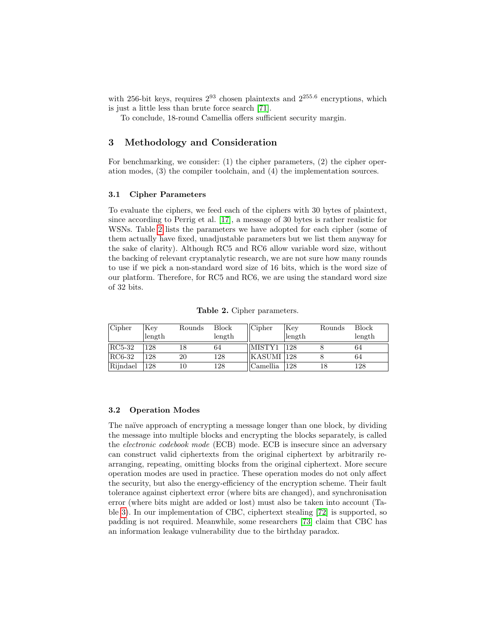with 256-bit keys, requires  $2^{93}$  chosen plaintexts and  $2^{255.6}$  encryptions, which is just a little less than brute force search [\[71\]](#page-20-0).

To conclude, 18-round Camellia offers sufficient security margin.

# <span id="page-7-0"></span>3 Methodology and Consideration

For benchmarking, we consider: (1) the cipher parameters, (2) the cipher operation modes, (3) the compiler toolchain, and (4) the implementation sources.

### 3.1 Cipher Parameters

To evaluate the ciphers, we feed each of the ciphers with 30 bytes of plaintext, since according to Perrig et al. [\[17\]](#page-16-15), a message of 30 bytes is rather realistic for WSNs. Table [2](#page-7-1) lists the parameters we have adopted for each cipher (some of them actually have fixed, unadjustable parameters but we list them anyway for the sake of clarity). Although RC5 and RC6 allow variable word size, without the backing of relevant cryptanalytic research, we are not sure how many rounds to use if we pick a non-standard word size of 16 bits, which is the word size of our platform. Therefore, for RC5 and RC6, we are using the standard word size of 32 bits.

| Cipher   | Key    | Rounds | <b>Block</b> | Chapter    | Key    | Rounds | <b>Block</b> |
|----------|--------|--------|--------------|------------|--------|--------|--------------|
|          | length |        | length       |            | length |        | length       |
| $RC5-32$ | 128    |        | 64           | MISTY1     | 1128   |        | 64           |
| $RC6-32$ | 128    | 20     | 128          | KASUMI 128 |        |        | 64           |
| Rijndael | 128    |        | 128          | Camellia   | 1128   |        | 128          |

<span id="page-7-1"></span>Table 2. Cipher parameters.

#### 3.2 Operation Modes

The naïve approach of encrypting a message longer than one block, by dividing the message into multiple blocks and encrypting the blocks separately, is called the electronic codebook mode (ECB) mode. ECB is insecure since an adversary can construct valid ciphertexts from the original ciphertext by arbitrarily rearranging, repeating, omitting blocks from the original ciphertext. More secure operation modes are used in practice. These operation modes do not only affect the security, but also the energy-efficiency of the encryption scheme. Their fault tolerance against ciphertext error (where bits are changed), and synchronisation error (where bits might are added or lost) must also be taken into account (Table [3\)](#page-8-0). In our implementation of CBC, ciphertext stealing [\[72\]](#page-20-1) is supported, so padding is not required. Meanwhile, some researchers [\[73\]](#page-20-2) claim that CBC has an information leakage vulnerability due to the birthday paradox.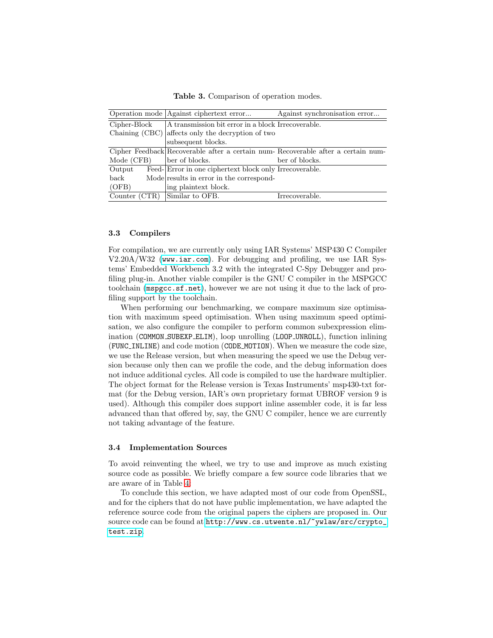<span id="page-8-0"></span>Table 3. Comparison of operation modes.

|               | Operation mode   Against ciphertext error              | Against synchronisation error                                                    |  |  |  |
|---------------|--------------------------------------------------------|----------------------------------------------------------------------------------|--|--|--|
| Cipher-Block  | A transmission bit error in a block Irrecoverable.     |                                                                                  |  |  |  |
|               | Chaining (CBC) affects only the decryption of two      |                                                                                  |  |  |  |
|               | subsequent blocks.                                     |                                                                                  |  |  |  |
|               |                                                        | Cipher Feedback Recoverable after a certain num-Recoverable after a certain num- |  |  |  |
| Mode (CFB)    | ber of blocks.                                         | ber of blocks.                                                                   |  |  |  |
| Output        | Feed-Error in one ciphertext block only Irrecoverable. |                                                                                  |  |  |  |
| back          | Mode results in error in the correspond-               |                                                                                  |  |  |  |
| (OFB)         | ing plaintext block.                                   |                                                                                  |  |  |  |
| Counter (CTR) | Similar to OFB.                                        | Irrecoverable.                                                                   |  |  |  |

#### 3.3 Compilers

For compilation, we are currently only using IAR Systems' MSP430 C Compiler V2.20A/W32 (<www.iar.com>). For debugging and profiling, we use IAR Systems' Embedded Workbench 3.2 with the integrated C-Spy Debugger and profiling plug-in. Another viable compiler is the GNU C compiler in the MSPGCC toolchain (<mspgcc.sf.net>), however we are not using it due to the lack of profiling support by the toolchain.

When performing our benchmarking, we compare maximum size optimisation with maximum speed optimisation. When using maximum speed optimisation, we also configure the compiler to perform common subexpression elimination (COMMON SUBEXP ELIM), loop unrolling (LOOP UNROLL), function inlining (FUNC INLINE) and code motion (CODE MOTION). When we measure the code size, we use the Release version, but when measuring the speed we use the Debug version because only then can we profile the code, and the debug information does not induce additional cycles. All code is compiled to use the hardware multiplier. The object format for the Release version is Texas Instruments' msp430-txt format (for the Debug version, IAR's own proprietary format UBROF version 9 is used). Although this compiler does support inline assembler code, it is far less advanced than that offered by, say, the GNU C compiler, hence we are currently not taking advantage of the feature.

### <span id="page-8-1"></span>3.4 Implementation Sources

To avoid reinventing the wheel, we try to use and improve as much existing source code as possible. We briefly compare a few source code libraries that we are aware of in Table [4:](#page-9-1)

To conclude this section, we have adapted most of our code from OpenSSL, and for the ciphers that do not have public implementation, we have adapted the reference source code from the original papers the ciphers are proposed in. Our source code can be found at [http://www.cs.utwente.nl/~ywlaw/src/crypto\\_](http://www.cs.utwente.nl/~ywlaw/src/crypto_test.zip) [test.zip](http://www.cs.utwente.nl/~ywlaw/src/crypto_test.zip).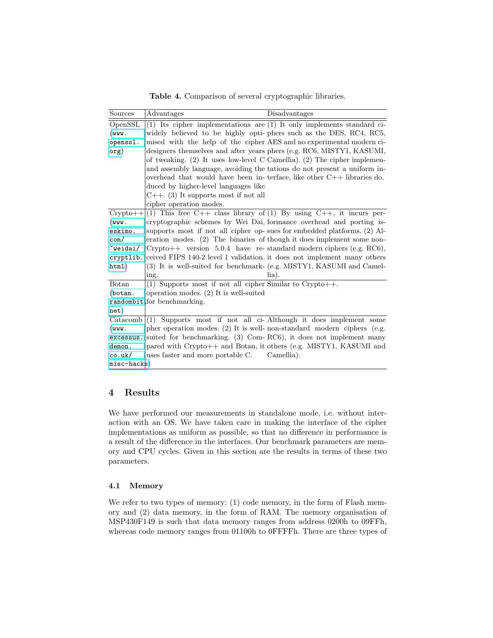<span id="page-9-1"></span>Table 4. Comparison of several cryptographic libraries.

| Sources      | Disadvantages<br>Advantages                                                |  |
|--------------|----------------------------------------------------------------------------|--|
| OpenSSL      | $(1)$ Its cipher implementations are $(1)$ It only implements standard ci- |  |
| $(wwu)$ .    | widely believed to be highly opti- phers such as the DES, RC4, RC5,        |  |
| openssl.     | mised with the help of the cipher AES and no experimental modern ci-       |  |
| $\sigma$ g)  | designers themselves and after years phers (e.g. RC6, MISTY1, KASUMI,      |  |
|              | of tweaking. (2) It uses low-level C Camellia). (2) The cipher implemen-   |  |
|              | and assembly language, avoiding the tations do not present a uniform in-   |  |
|              | overhead that would have been in-terface, like other $C++$ libraries do.   |  |
|              | duced by higher-level languages like                                       |  |
|              | $C_{++}$ . (3) It supports most if not all                                 |  |
|              | cipher operation modes.                                                    |  |
| $Crypto++$   | (1) This free $C++$ class library of (1) By using $C++$ , it incurs per-   |  |
| (www.        | cryptographic schemes by Wei Dai, formance overhead and porting is-        |  |
| eskimo.      | supports most if not all cipher op- sues for embedded platforms. (2) Al-   |  |
| com/         | eration modes. $(2)$ The binaries of though it does implement some non-    |  |
| ~weidai/     | $Crypto++$ version 5.0.4 have re-standard modern ciphers (e.g. RC6),       |  |
| cryptlib.    | ceived FIPS 140-2 level 1 validation it does not implement many others     |  |
| html)        | (3) It is well-suited for benchmark- (e.g. MISTY1, KASUMI and Camel-       |  |
|              | $l$ ia).<br>ing.                                                           |  |
| Botan        | (1) Supports most if not all cipher Similar to Crypto++.                   |  |
| (bottom.     | operation modes. $(2)$ It is well-suited                                   |  |
|              | randombit for benchmarking.                                                |  |
| net)         |                                                                            |  |
| Catacomb     | Supports most if not all ci-Although it does implement some<br>(1)         |  |
| $(wwu)$ .    | pher operation modes. (2) It is well- non-standard modern ciphers (e.g.    |  |
| excessus.    | suited for benchmarking. (3) Com-RC6), it does not implement many          |  |
| demon.       | pared with Crypto++ and Botan, it others (e.g. MISTY1, KASUMI and          |  |
| co.uk/       | uses faster and more portable C.<br>Camellia).                             |  |
| $misc-hacks$ |                                                                            |  |

# <span id="page-9-0"></span>4 Results

We have performed our measurements in standalone mode, i.e. without interaction with an OS. We have taken care in making the interface of the cipher implementations as uniform as possible, so that no difference in performance is a result of the difference in the interfaces. Our benchmark parameters are memory and CPU cycles. Given in this section are the results in terms of these two parameters.

### <span id="page-9-2"></span>4.1 Memory

We refer to two types of memory: (1) code memory, in the form of Flash memory and (2) data memory, in the form of RAM. The memory organisation of MSP430F149 is such that data memory ranges from address 0200h to 09FFh, whereas code memory ranges from 01100h to 0FFFFh. There are three types of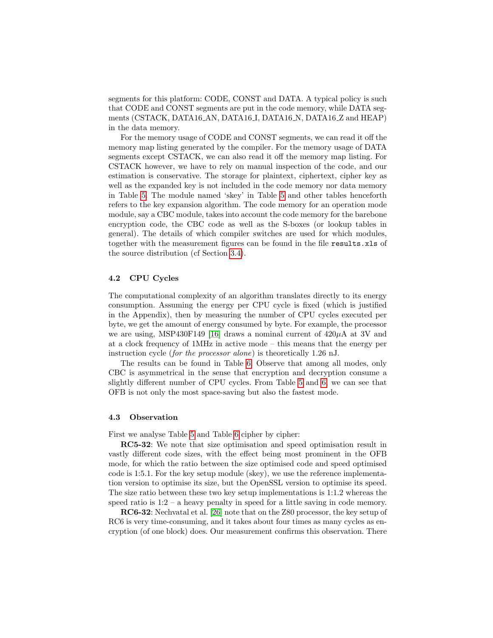segments for this platform: CODE, CONST and DATA. A typical policy is such that CODE and CONST segments are put in the code memory, while DATA segments (CSTACK, DATA16\_AN, DATA16\_I, DATA16\_N, DATA16\_Z and HEAP) in the data memory.

For the memory usage of CODE and CONST segments, we can read it off the memory map listing generated by the compiler. For the memory usage of DATA segments except CSTACK, we can also read it off the memory map listing. For CSTACK however, we have to rely on manual inspection of the code, and our estimation is conservative. The storage for plaintext, ciphertext, cipher key as well as the expanded key is not included in the code memory nor data memory in Table [5.](#page-11-0) The module named 'skey' in Table [5](#page-11-0) and other tables henceforth refers to the key expansion algorithm. The code memory for an operation mode module, say a CBC module, takes into account the code memory for the barebone encryption code, the CBC code as well as the S-boxes (or lookup tables in general). The details of which compiler switches are used for which modules, together with the measurement figures can be found in the file results.xls of the source distribution (cf Section [3.4\)](#page-8-1).

### 4.2 CPU Cycles

The computational complexity of an algorithm translates directly to its energy consumption. Assuming the energy per CPU cycle is fixed (which is justified in the Appendix), then by measuring the number of CPU cycles executed per byte, we get the amount of energy consumed by byte. For example, the processor we are using, MSP430F149 [\[16\]](#page-16-14) draws a nominal current of  $420\mu$ A at 3V and at a clock frequency of 1MHz in active mode – this means that the energy per instruction cycle (for the processor alone) is theoretically 1.26 nJ.

The results can be found in Table [6.](#page-12-0) Observe that among all modes, only CBC is asymmetrical in the sense that encryption and decryption consume a slightly different number of CPU cycles. From Table [5](#page-11-0) and [6,](#page-12-0) we can see that OFB is not only the most space-saving but also the fastest mode.

### 4.3 Observation

First we analyse Table [5](#page-11-0) and Table [6](#page-12-0) cipher by cipher:

RC5-32: We note that size optimisation and speed optimisation result in vastly different code sizes, with the effect being most prominent in the OFB mode, for which the ratio between the size optimised code and speed optimised code is 1:5.1. For the key setup module (skey), we use the reference implementation version to optimise its size, but the OpenSSL version to optimise its speed. The size ratio between these two key setup implementations is 1:1.2 whereas the speed ratio is  $1:2 - a$  heavy penalty in speed for a little saving in code memory.

RC6-32: Nechvatal et al. [\[26\]](#page-17-5) note that on the Z80 processor, the key setup of RC6 is very time-consuming, and it takes about four times as many cycles as encryption (of one block) does. Our measurement confirms this observation. There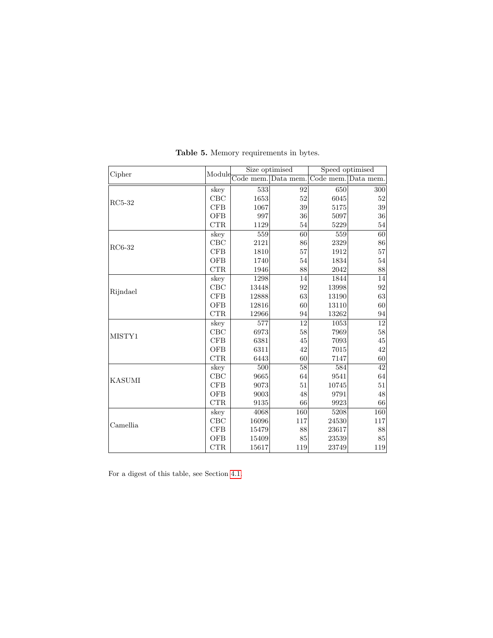| Cipher        |              |                            | Size optimised | Speed optimised     |        |  |
|---------------|--------------|----------------------------|----------------|---------------------|--------|--|
|               |              | Module Code mem. Data mem. |                | Code mem. Data mem. |        |  |
|               | skey         | 533                        | 92             | 650                 | 300    |  |
| $RC5-32$      | CBC          | 1653                       | 52             | 6045                | 52     |  |
|               | CFB          | 1067                       | 39             | 5175                | 39     |  |
|               | <b>OFB</b>   | 997                        | 36             | 5097                | 36     |  |
|               | CTR          | 1129                       | 54             | 5229                | 54     |  |
|               | skey         | 559                        | 60             | 559                 | 60     |  |
| $RC6-32$      | CBC          | 2121                       | 86             | 2329                | 86     |  |
|               | CFB          | 1810                       | 57             | 1912                | $57\,$ |  |
|               | OFB          | 1740                       | 54             | 1834                | 54     |  |
|               | CTR          | 1946                       | 88             | 2042                | 88     |  |
|               | skey         | 1298                       | 14             | 1844                | 14     |  |
| Rijndael      | $_{\rm CBC}$ | 13448                      | 92             | 13998               | 92     |  |
|               | CFB          | 12888                      | 63             | 13190               | $63\,$ |  |
|               | <b>OFB</b>   | 12816                      | 60             | 13110               | 60     |  |
|               | CTR          | 12966                      | 94             | 13262               | 94     |  |
|               | skey         | 577                        | 12             | 1053                | 12     |  |
| MISTY1        | $_{\rm CBC}$ | 6973                       | 58             | 7969                | $58\,$ |  |
|               | CFB          | 6381                       | 45             | 7093                | $45\,$ |  |
|               | <b>OFB</b>   | 6311                       | 42             | 7015                | 42     |  |
|               | CTR          | 6443                       | 60             | 7147                | 60     |  |
|               | skey         | 500                        | 58             | 584                 | 42     |  |
| <b>KASUMI</b> | $_{\rm CBC}$ | 9665                       | 64             | 9541                | 64     |  |
|               | CFB          | 9073                       | 51             | 10745               | $51\,$ |  |
|               | OFB          | 9003                       | 48             | 9791                | $48\,$ |  |
|               | CTR          | 9135                       | 66             | 9923                | 66     |  |
|               | skey         | 4068                       | 160            | 5208                | 160    |  |
| Camellia      | $_{\rm CBC}$ | 16096                      | 117            | 24530               | 117    |  |
|               | CFB          | 15479                      | 88             | 23617               | 88     |  |
|               | OFB          | 15409                      | 85             | 23539               | 85     |  |
|               | CTR          | 15617                      | 119            | 23749               | 119    |  |

<span id="page-11-0"></span>Table 5. Memory requirements in bytes.

For a digest of this table, see Section [4.1.](#page-9-2)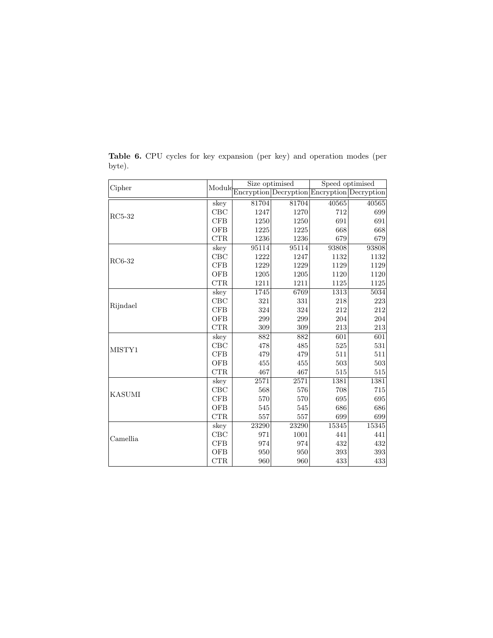| Cipher   | Module     | Size optimised |       | Speed optimised                             |       |  |
|----------|------------|----------------|-------|---------------------------------------------|-------|--|
|          |            |                |       | Encryption Decryption Encryption Decryption |       |  |
|          | skey       | 81704          | 81704 | 40565                                       | 40565 |  |
|          | CBC        | 1247           | 1270  | 712                                         | 699   |  |
| $RC5-32$ | CFB        | 1250           | 1250  | 691                                         | 691   |  |
|          | <b>OFB</b> | 1225           | 1225  | 668                                         | 668   |  |
|          | CTR        | 1236           | 1236  | 679                                         | 679   |  |
|          | skey       | 95114          | 95114 | 93808                                       | 93808 |  |
| RC6-32   | CBC        | 1222           | 1247  | 1132                                        | 1132  |  |
|          | CFB        | 1229           | 1229  | 1129                                        | 1129  |  |
|          | <b>OFB</b> | 1205           | 1205  | 1120                                        | 1120  |  |
|          | CTR        | 1211           | 1211  | 1125                                        | 1125  |  |
|          | skey       | 1745           | 6769  | 1313                                        | 5034  |  |
| Rijndael | CBC        | 321            | 331   | 218                                         | 223   |  |
|          | CFB        | 324            | 324   | 212                                         | 212   |  |
|          | <b>OFB</b> | 299            | 299   | 204                                         | 204   |  |
|          | CTR        | 309            | 309   | 213                                         | 213   |  |
|          | skey       | 882            | 882   | 601                                         | 601   |  |
| MISTY1   | CBC        | 478            | 485   | 525                                         | 531   |  |
|          | CFB        | 479            | 479   | 511                                         | 511   |  |
|          | <b>OFB</b> | 455            | 455   | 503                                         | 503   |  |
|          | CTR        | 467            | 467   | 515                                         | 515   |  |
|          | skey       | 2571           | 2571  | 1381                                        | 1381  |  |
| KASUMI   | CBC        | 568            | 576   | 708                                         | 715   |  |
|          | CFB        | 570            | 570   | 695                                         | 695   |  |
|          | <b>OFB</b> | 545            | 545   | 686                                         | 686   |  |
|          | CTR        | 557            | 557   | 699                                         | 699   |  |
|          | skey       | 23290          | 23290 | 15345                                       | 15345 |  |
| Camellia | CBC        | 971            | 1001  | 441                                         | 441   |  |
|          | CFB        | 974            | 974   | 432                                         | 432   |  |
|          | <b>OFB</b> | 950            | 950   | 393                                         | 393   |  |
|          | CTR        | 960            | 960   | 433                                         | 433   |  |

<span id="page-12-0"></span>Table 6. CPU cycles for key expansion (per key) and operation modes (per byte).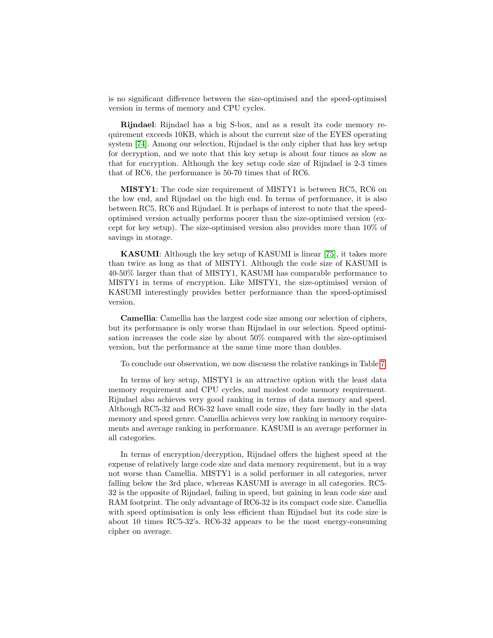is no significant difference between the size-optimised and the speed-optimised version in terms of memory and CPU cycles.

Rijndael: Rijndael has a big S-box, and as a result its code memory requirement exceeds 10KB, which is about the current size of the EYES operating system [\[74\]](#page-20-3). Among our selection, Rijndael is the only cipher that has key setup for decryption, and we note that this key setup is about four times as slow as that for encryption. Although the key setup code size of Rijndael is 2-3 times that of RC6, the performance is 50-70 times that of RC6.

MISTY1: The code size requirement of MISTY1 is between RC5, RC6 on the low end, and Rijndael on the high end. In terms of performance, it is also between RC5, RC6 and Rijndael. It is perhaps of interest to note that the speedoptimised version actually performs poorer than the size-optimised version (except for key setup). The size-optimised version also provides more than 10% of savings in storage.

KASUMI: Although the key setup of KASUMI is linear [\[75\]](#page-20-4), it takes more than twice as long as that of MISTY1. Although the code size of KASUMI is 40-50% larger than that of MISTY1, KASUMI has comparable performance to MISTY1 in terms of encryption. Like MISTY1, the size-optimised version of KASUMI interestingly provides better performance than the speed-optimised version.

Camellia: Camellia has the largest code size among our selection of ciphers, but its performance is only worse than Rijndael in our selection. Speed optimisation increases the code size by about 50% compared with the size-optimised version, but the performance at the same time more than doubles.

To conclude our observation, we now discuess the relative rankings in Table [7.](#page-14-1)

In terms of key setup, MISTY1 is an attractive option with the least data memory requirement and CPU cycles, and modest code memory requirement. Rijndael also achieves very good ranking in terms of data memory and speed. Although RC5-32 and RC6-32 have small code size, they fare badly in the data memory and speed genre. Camellia achieves very low ranking in memory requirements and average ranking in performance. KASUMI is an average performer in all categories.

In terms of encryption/decryption, Rijndael offers the highest speed at the expense of relatively large code size and data memory requirement, but in a way not worse than Camellia. MISTY1 is a solid performer in all categories, never falling below the 3rd place, whereas KASUMI is average in all categories. RC5- 32 is the opposite of Rijndael, failing in speed, but gaining in lean code size and RAM footprint. The only advantage of RC6-32 is its compact code size. Camellia with speed optimisation is only less efficient than Rijndael but its code size is about 10 times RC5-32's. RC6-32 appears to be the most energy-consuming cipher on average.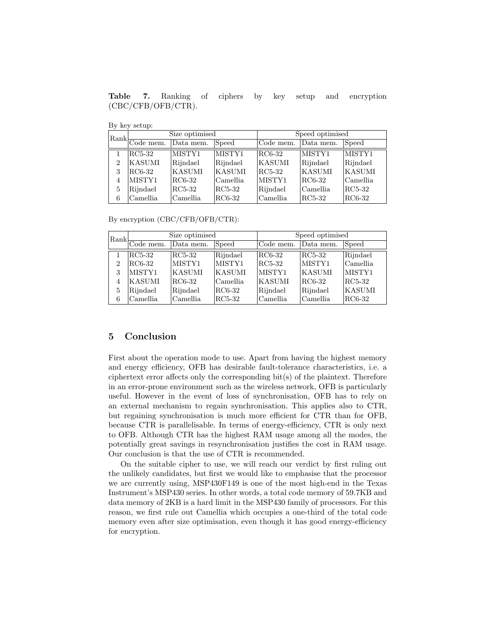<span id="page-14-1"></span>Table 7. Ranking of ciphers by key setup and encryption (CBC/CFB/OFB/CTR).

|  |  | By key setup: |  |
|--|--|---------------|--|
|--|--|---------------|--|

|   |                                                      | Size optimised |               | Speed optimised |           |               |  |
|---|------------------------------------------------------|----------------|---------------|-----------------|-----------|---------------|--|
|   | $\left \frac{\text{Rank}}{\text{Code mem}}\right $ . | Data mem.      | Speed         | Code mem.       | Data mem. | Speed         |  |
|   | RC5-32                                               | MISTY1         | MISTY1        | RC6-32          | MISTY1    | MISTY1        |  |
| 2 | <b>KASUMI</b>                                        | Rijndael       | Rijndael      | KASUMI          | Rijndael  | Rijndael      |  |
| 3 | RC6-32                                               | <b>KASUMI</b>  | <b>KASUMI</b> | RC5-32          | KASUMI    | <b>KASUMI</b> |  |
| 4 | MISTY1                                               | RC6-32         | Camellia      | MISTY1          | RC6-32    | Camellia      |  |
| 5 | Rijndael                                             | RC5-32         | $RC5-32$      | Rijndael        | Camellia  | RC5-32        |  |
| 6 | Camellia                                             | Camellia       | RC6-32        | Camellia        | RC5-32    | RC6-32        |  |

By encryption (CBC/CFB/OFB/CTR):

|   |                          | Size optimised |               | Speed optimised |               |               |  |
|---|--------------------------|----------------|---------------|-----------------|---------------|---------------|--|
|   | $ Rank  \over$ Code mem. | Data mem.      | Speed         | Code mem.       | Data mem.     | Speed         |  |
|   | RC5-32                   | RC5-32         | Rijndael      | RC6-32          | RC5-32        | Rijndael      |  |
| 2 | RC6-32                   | MISTY1         | MISTY1        | RC5-32          | MISTY1        | Camellia      |  |
| 3 | MISTY1                   | <b>KASUMI</b>  | <b>KASUMI</b> | MISTY1          | <b>KASUMI</b> | MISTY1        |  |
| 4 | <b>KASUMI</b>            | RC6-32         | Camellia      | <b>KASUMI</b>   | RC6-32        | RC5-32        |  |
| 5 | Rijndael                 | Rijndael       | RC6-32        | Rijndael        | Rijndael      | <b>KASUMI</b> |  |
| 6 | Camellia                 | Camellia       | $RC5-32$      | Camellia        | Camellia      | RC6-32        |  |

# <span id="page-14-0"></span>5 Conclusion

First about the operation mode to use. Apart from having the highest memory and energy efficiency, OFB has desirable fault-tolerance characteristics, i.e. a ciphertext error affects only the corresponding bit(s) of the plaintext. Therefore in an error-prone environment such as the wireless network, OFB is particularly useful. However in the event of loss of synchronisation, OFB has to rely on an external mechanism to regain synchronisation. This applies also to CTR, but regaining synchronisation is much more efficient for CTR than for OFB, because CTR is parallelisable. In terms of energy-efficiency, CTR is only next to OFB. Although CTR has the highest RAM usage among all the modes, the potentially great savings in resynchronisation justifies the cost in RAM usage. Our conclusion is that the use of CTR is recommended.

On the suitable cipher to use, we will reach our verdict by first ruling out the unlikely candidates, but first we would like to emphasise that the processor we are currently using, MSP430F149 is one of the most high-end in the Texas Instrument's MSP430 series. In other words, a total code memory of 59.7KB and data memory of 2KB is a hard limit in the MSP430 family of processors. For this reason, we first rule out Camellia which occupies a one-third of the total code memory even after size optimisation, even though it has good energy-efficiency for encryption.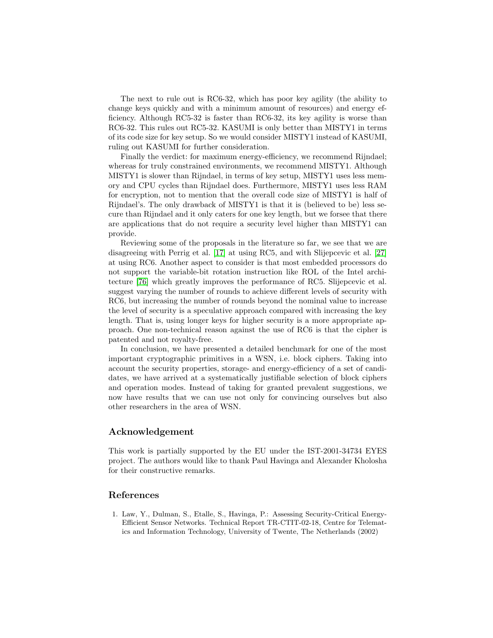The next to rule out is RC6-32, which has poor key agility (the ability to change keys quickly and with a minimum amount of resources) and energy efficiency. Although RC5-32 is faster than RC6-32, its key agility is worse than RC6-32. This rules out RC5-32. KASUMI is only better than MISTY1 in terms of its code size for key setup. So we would consider MISTY1 instead of KASUMI, ruling out KASUMI for further consideration.

Finally the verdict: for maximum energy-efficiency, we recommend Rijndael; whereas for truly constrained environments, we recommend MISTY1. Although MISTY1 is slower than Rijndael, in terms of key setup, MISTY1 uses less memory and CPU cycles than Rijndael does. Furthermore, MISTY1 uses less RAM for encryption, not to mention that the overall code size of MISTY1 is half of Rijndael's. The only drawback of MISTY1 is that it is (believed to be) less secure than Rijndael and it only caters for one key length, but we forsee that there are applications that do not require a security level higher than MISTY1 can provide.

Reviewing some of the proposals in the literature so far, we see that we are disagreeing with Perrig et al. [\[17\]](#page-16-15) at using RC5, and with Slijepcevic et al. [\[27\]](#page-17-6) at using RC6. Another aspect to consider is that most embedded processors do not support the variable-bit rotation instruction like ROL of the Intel architecture [\[76\]](#page-20-5) which greatly improves the performance of RC5. Slijepcevic et al. suggest varying the number of rounds to achieve different levels of security with RC6, but increasing the number of rounds beyond the nominal value to increase the level of security is a speculative approach compared with increasing the key length. That is, using longer keys for higher security is a more appropriate approach. One non-technical reason against the use of RC6 is that the cipher is patented and not royalty-free.

In conclusion, we have presented a detailed benchmark for one of the most important cryptographic primitives in a WSN, i.e. block ciphers. Taking into account the security properties, storage- and energy-efficiency of a set of candidates, we have arrived at a systematically justifiable selection of block ciphers and operation modes. Instead of taking for granted prevalent suggestions, we now have results that we can use not only for convincing ourselves but also other researchers in the area of WSN.

# Acknowledgement

This work is partially supported by the EU under the IST-2001-34734 EYES project. The authors would like to thank Paul Havinga and Alexander Kholosha for their constructive remarks.

# References

<span id="page-15-0"></span>1. Law, Y., Dulman, S., Etalle, S., Havinga, P.: Assessing Security-Critical Energy-Efficient Sensor Networks. Technical Report TR-CTIT-02-18, Centre for Telematics and Information Technology, University of Twente, The Netherlands (2002)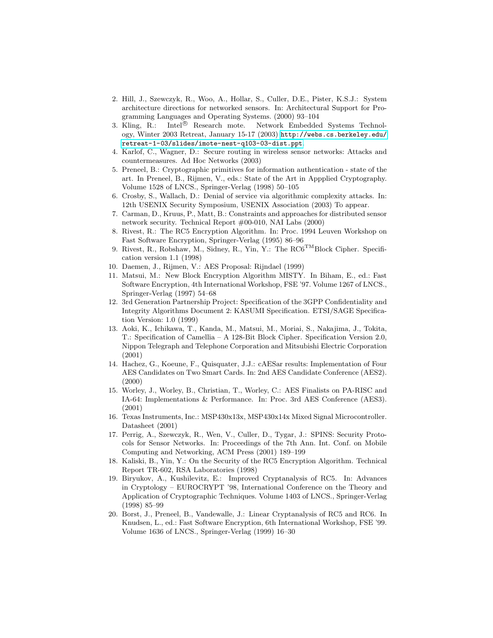- <span id="page-16-0"></span>2. Hill, J., Szewczyk, R., Woo, A., Hollar, S., Culler, D.E., Pister, K.S.J.: System architecture directions for networked sensors. In: Architectural Support for Programming Languages and Operating Systems. (2000) 93–104
- <span id="page-16-1"></span>3. Kling, R.: Intel<sup>®</sup> Research mote. Network Embedded Systems Technology, Winter 2003 Retreat, January 15-17 (2003) [http://webs.cs.berkeley.edu/](http://webs.cs.berkeley.edu/retreat-1-03/slides/imote-nest-q103-03-dist.ppt) [retreat-1-03/slides/imote-nest-q103-03-dist.ppt](http://webs.cs.berkeley.edu/retreat-1-03/slides/imote-nest-q103-03-dist.ppt).
- <span id="page-16-2"></span>4. Karlof, C., Wagner, D.: Secure routing in wireless sensor networks: Attacks and countermeasures. Ad Hoc Networks (2003)
- <span id="page-16-3"></span>5. Preneel, B.: Cryptographic primitives for information authentication - state of the art. In Preneel, B., Rijmen, V., eds.: State of the Art in Appplied Cryptography. Volume 1528 of LNCS., Springer-Verlag (1998) 50–105
- <span id="page-16-4"></span>6. Crosby, S., Wallach, D.: Denial of service via algorithmic complexity attacks. In: 12th USENIX Security Symposium, USENIX Association (2003) To appear.
- <span id="page-16-5"></span>7. Carman, D., Kruus, P., Matt, B.: Constraints and approaches for distributed sensor network security. Technical Report #00-010, NAI Labs (2000)
- <span id="page-16-6"></span>8. Rivest, R.: The RC5 Encryption Algorithm. In: Proc. 1994 Leuven Workshop on Fast Software Encryption, Springer-Verlag (1995) 86–96
- <span id="page-16-7"></span>9. Rivest, R., Robshaw, M., Sidney, R., Yin, Y.: The  $\mathrm{RCG}^{\mathrm{TM}}$ Block Cipher. Specification version 1.1 (1998)
- <span id="page-16-8"></span>10. Daemen, J., Rijmen, V.: AES Proposal: Rijndael (1999)
- <span id="page-16-9"></span>11. Matsui, M.: New Block Encryption Algorithm MISTY. In Biham, E., ed.: Fast Software Encryption, 4th International Workshop, FSE '97. Volume 1267 of LNCS., Springer-Verlag (1997) 54–68
- <span id="page-16-10"></span>12. 3rd Generation Partnership Project: Specification of the 3GPP Confidentiality and Integrity Algorithms Document 2: KASUMI Specification. ETSI/SAGE Specification Version: 1.0 (1999)
- <span id="page-16-11"></span>13. Aoki, K., Ichikawa, T., Kanda, M., Matsui, M., Moriai, S., Nakajima, J., Tokita, T.: Specification of Camellia – A 128-Bit Block Cipher. Specification Version 2.0, Nippon Telegraph and Telephone Corporation and Mitsubishi Electric Corporation (2001)
- <span id="page-16-12"></span>14. Hachez, G., Koeune, F., Quisquater, J.J.: cAESar results: Implementation of Four AES Candidates on Two Smart Cards. In: 2nd AES Candidate Conference (AES2). (2000)
- <span id="page-16-13"></span>15. Worley, J., Worley, B., Christian, T., Worley, C.: AES Finalists on PA-RISC and IA-64: Implementations & Performance. In: Proc. 3rd AES Conference (AES3). (2001)
- <span id="page-16-14"></span>16. Texas Instruments, Inc.: MSP430x13x, MSP430x14x Mixed Signal Microcontroller. Datasheet (2001)
- <span id="page-16-15"></span>17. Perrig, A., Szewczyk, R., Wen, V., Culler, D., Tygar, J.: SPINS: Security Protocols for Sensor Networks. In: Proceedings of the 7th Ann. Int. Conf. on Mobile Computing and Networking, ACM Press (2001) 189–199
- <span id="page-16-16"></span>18. Kaliski, B., Yin, Y.: On the Security of the RC5 Encryption Algorithm. Technical Report TR-602, RSA Laboratories (1998)
- <span id="page-16-17"></span>19. Biryukov, A., Kushilevitz, E.: Improved Cryptanalysis of RC5. In: Advances in Cryptology – EUROCRYPT '98, International Conference on the Theory and Application of Cryptographic Techniques. Volume 1403 of LNCS., Springer-Verlag (1998) 85–99
- <span id="page-16-18"></span>20. Borst, J., Preneel, B., Vandewalle, J.: Linear Cryptanalysis of RC5 and RC6. In Knudsen, L., ed.: Fast Software Encryption, 6th International Workshop, FSE '99. Volume 1636 of LNCS., Springer-Verlag (1999) 16–30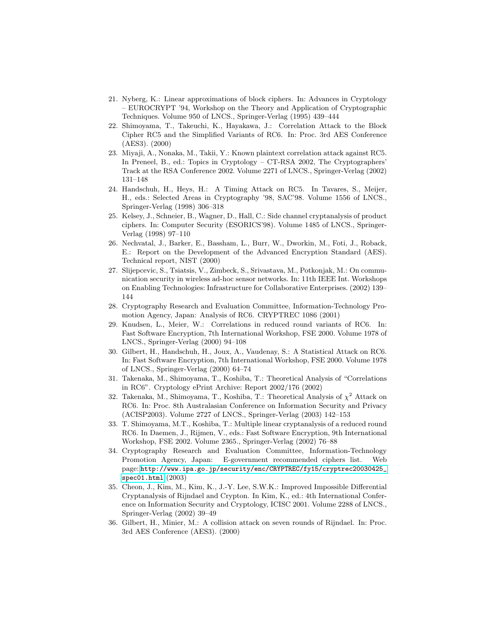- <span id="page-17-0"></span>21. Nyberg, K.: Linear approximations of block ciphers. In: Advances in Cryptology – EUROCRYPT '94, Workshop on the Theory and Application of Cryptographic Techniques. Volume 950 of LNCS., Springer-Verlag (1995) 439–444
- <span id="page-17-1"></span>22. Shimoyama, T., Takeuchi, K., Hayakawa, J.: Correlation Attack to the Block Cipher RC5 and the Simplified Variants of RC6. In: Proc. 3rd AES Conference (AES3). (2000)
- <span id="page-17-2"></span>23. Miyaji, A., Nonaka, M., Takii, Y.: Known plaintext correlation attack against RC5. In Preneel, B., ed.: Topics in Cryptology – CT-RSA 2002, The Cryptographers' Track at the RSA Conference 2002. Volume 2271 of LNCS., Springer-Verlag (2002) 131–148
- <span id="page-17-3"></span>24. Handschuh, H., Heys, H.: A Timing Attack on RC5. In Tavares, S., Meijer, H., eds.: Selected Areas in Cryptography '98, SAC'98. Volume 1556 of LNCS., Springer-Verlag (1998) 306–318
- <span id="page-17-4"></span>25. Kelsey, J., Schneier, B., Wagner, D., Hall, C.: Side channel cryptanalysis of product ciphers. In: Computer Security (ESORICS'98). Volume 1485 of LNCS., Springer-Verlag (1998) 97–110
- <span id="page-17-5"></span>26. Nechvatal, J., Barker, E., Bassham, L., Burr, W., Dworkin, M., Foti, J., Roback, E.: Report on the Development of the Advanced Encryption Standard (AES). Technical report, NIST (2000)
- <span id="page-17-6"></span>27. Slijepcevic, S., Tsiatsis, V., Zimbeck, S., Srivastava, M., Potkonjak, M.: On communication security in wireless ad-hoc sensor networks. In: 11th IEEE Int. Workshops on Enabling Technologies: Infrastructure for Collaborative Enterprises. (2002) 139– 144
- <span id="page-17-7"></span>28. Cryptography Research and Evaluation Committee, Information-Technology Promotion Agency, Japan: Analysis of RC6. CRYPTREC 1086 (2001)
- <span id="page-17-8"></span>29. Knudsen, L., Meier, W.: Correlations in reduced round variants of RC6. In: Fast Software Encryption, 7th International Workshop, FSE 2000. Volume 1978 of LNCS., Springer-Verlag (2000) 94–108
- <span id="page-17-9"></span>30. Gilbert, H., Handschuh, H., Joux, A., Vaudenay, S.: A Statistical Attack on RC6. In: Fast Software Encryption, 7th International Workshop, FSE 2000. Volume 1978 of LNCS., Springer-Verlag (2000) 64–74
- <span id="page-17-10"></span>31. Takenaka, M., Shimoyama, T., Koshiba, T.: Theoretical Analysis of "Correlations in RC6". Cryptology ePrint Archive: Report 2002/176 (2002)
- <span id="page-17-11"></span>32. Takenaka, M., Shimoyama, T., Koshiba, T.: Theoretical Analysis of  $\chi^2$  Attack on RC6. In: Proc. 8th Australasian Conference on Information Security and Privacy (ACISP2003). Volume 2727 of LNCS., Springer-Verlag (2003) 142–153
- <span id="page-17-12"></span>33. T. Shimoyama, M.T., Koshiba, T.: Multiple linear cryptanalysis of a reduced round RC6. In Daemen, J., Rijmen, V., eds.: Fast Software Encryption, 9th International Workshop, FSE 2002. Volume 2365., Springer-Verlag (2002) 76–88
- <span id="page-17-13"></span>34. Cryptography Research and Evaluation Committee, Information-Technology Promotion Agency, Japan: E-government recommended ciphers list. Web page: [http://www.ipa.go.jp/security/enc/CRYPTREC/fy15/cryptrec20030425\\_](http://www.ipa.go.jp/security/enc/CRYPTREC/fy15/cryptrec20030425_spec01.html) [spec01.html](http://www.ipa.go.jp/security/enc/CRYPTREC/fy15/cryptrec20030425_spec01.html) (2003)
- <span id="page-17-14"></span>35. Cheon, J., Kim, M., Kim, K., J.-Y. Lee, S.W.K.: Improved Impossible Differential Cryptanalysis of Rijndael and Crypton. In Kim, K., ed.: 4th International Conference on Information Security and Cryptology, ICISC 2001. Volume 2288 of LNCS., Springer-Verlag (2002) 39–49
- <span id="page-17-15"></span>36. Gilbert, H., Minier, M.: A collision attack on seven rounds of Rijndael. In: Proc. 3rd AES Conference (AES3). (2000)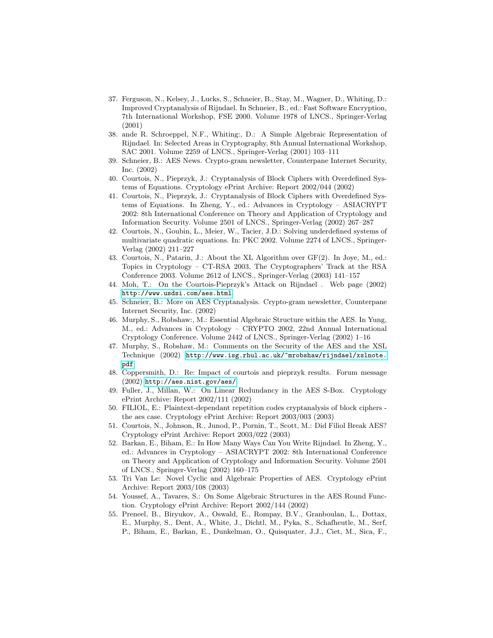- <span id="page-18-0"></span>37. Ferguson, N., Kelsey, J., Lucks, S., Schneier, B., Stay, M., Wagner, D., Whiting, D.: Improved Cryptanalysis of Rijndael. In Schneier, B., ed.: Fast Software Encryption, 7th International Workshop, FSE 2000. Volume 1978 of LNCS., Springer-Verlag (2001)
- <span id="page-18-1"></span>38. ande R. Schroeppel, N.F., Whiting:, D.: A Simple Algebraic Representation of Rijndael. In: Selected Areas in Cryptography, 8th Annual International Workshop, SAC 2001. Volume 2259 of LNCS., Springer-Verlag (2001) 103–111
- <span id="page-18-2"></span>39. Schneier, B.: AES News. Crypto-gram newsletter, Counterpane Internet Security, Inc. (2002)
- <span id="page-18-3"></span>40. Courtois, N., Pieprzyk, J.: Cryptanalysis of Block Ciphers with Overdefined Systems of Equations. Cryptology ePrint Archive: Report 2002/044 (2002)
- <span id="page-18-4"></span>41. Courtois, N., Pieprzyk, J.: Cryptanalysis of Block Ciphers with Overdefined Systems of Equations. In Zheng, Y., ed.: Advances in Cryptology – ASIACRYPT 2002: 8th International Conference on Theory and Application of Cryptology and Information Security. Volume 2501 of LNCS., Springer-Verlag (2002) 267–287
- <span id="page-18-5"></span>42. Courtois, N., Goubin, L., Meier, W., Tacier, J.D.: Solving underdefined systems of multivariate quadratic equations. In: PKC 2002. Volume 2274 of LNCS., Springer-Verlag (2002) 211–227
- <span id="page-18-6"></span>43. Courtois, N., Patarin, J.: About the XL Algorithm over GF(2). In Joye, M., ed.: Topics in Cryptology – CT-RSA 2003, The Cryptographers' Track at the RSA Conference 2003. Volume 2612 of LNCS., Springer-Verlag (2003) 141–157
- <span id="page-18-7"></span>44. Moh, T.: On the Courtois-Pieprzyk's Attack on Rijndael . Web page (2002) <http://www.usdsi.com/aes.html>.
- <span id="page-18-8"></span>45. Schneier, B.: More on AES Cryptanalysis. Crypto-gram newsletter, Counterpane Internet Security, Inc. (2002)
- <span id="page-18-9"></span>46. Murphy, S., Robshaw:, M.: Essential Algebraic Structure within the AES. In Yung, M., ed.: Advances in Cryptology – CRYPTO 2002, 22nd Annual International Cryptology Conference. Volume 2442 of LNCS., Springer-Verlag (2002) 1–16
- <span id="page-18-10"></span>47. Murphy, S., Robshaw, M.: Comments on the Security of the AES and the XSL Technique (2002) [http://www.isg.rhul.ac.uk/~mrobshaw/rijndael/xslnote.](http://www.isg.rhul.ac.uk/~mrobshaw/rijndael/xslnote.pdf) [pdf](http://www.isg.rhul.ac.uk/~mrobshaw/rijndael/xslnote.pdf).
- <span id="page-18-11"></span>48. Coppersmith, D.: Re: Impact of courtois and pieprzyk results. Forum message (2002) <http://aes.nist.gov/aes/>.
- <span id="page-18-12"></span>49. Fuller, J., Millan, W.: On Linear Redundancy in the AES S-Box. Cryptology ePrint Archive: Report 2002/111 (2002)
- <span id="page-18-13"></span>50. FILIOL, E.: Plaintext-dependant repetition codes cryptanalysis of block ciphers the aes case. Cryptology ePrint Archive: Report 2003/003 (2003)
- <span id="page-18-14"></span>51. Courtois, N., Johnson, R., Junod, P., Pornin, T., Scott, M.: Did Filiol Break AES? Cryptology ePrint Archive: Report 2003/022 (2003)
- <span id="page-18-15"></span>52. Barkan, E., Biham, E.: In How Many Ways Can You Write Rijndael. In Zheng, Y., ed.: Advances in Cryptology – ASIACRYPT 2002: 8th International Conference on Theory and Application of Cryptology and Information Security. Volume 2501 of LNCS., Springer-Verlag (2002) 160–175
- <span id="page-18-16"></span>53. Tri Van Le: Novel Cyclic and Algebraic Properties of AES. Cryptology ePrint Archive: Report 2003/108 (2003)
- <span id="page-18-17"></span>54. Youssef, A., Tavares, S.: On Some Algebraic Structures in the AES Round Function. Cryptology ePrint Archive: Report 2002/144 (2002)
- <span id="page-18-18"></span>55. Preneel, B., Biryukov, A., Oswald, E., Rompay, B.V., Granboulan, L., Dottax, E., Murphy, S., Dent, A., White, J., Dichtl, M., Pyka, S., Schafheutle, M., Serf, P., Biham, E., Barkan, E., Dunkelman, O., Quisquater, J.J., Ciet, M., Sica, F.,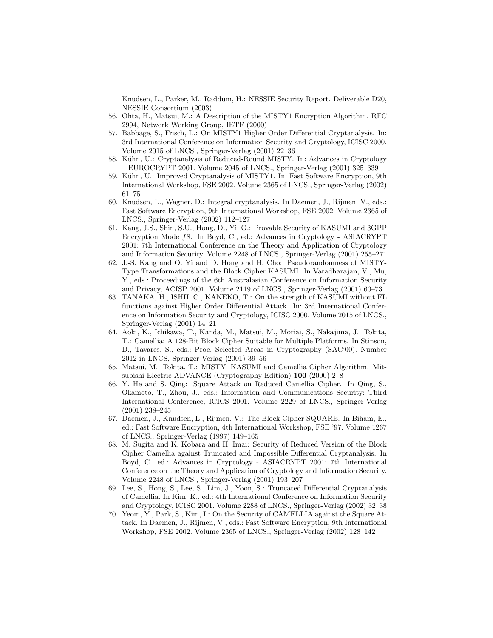Knudsen, L., Parker, M., Raddum, H.: NESSIE Security Report. Deliverable D20, NESSIE Consortium (2003)

- <span id="page-19-0"></span>56. Ohta, H., Matsui, M.: A Description of the MISTY1 Encryption Algorithm. RFC 2994, Network Working Group, IETF (2000)
- <span id="page-19-1"></span>57. Babbage, S., Frisch, L.: On MISTY1 Higher Order Differential Cryptanalysis. In: 3rd International Conference on Information Security and Cryptology, ICISC 2000. Volume 2015 of LNCS., Springer-Verlag (2001) 22–36
- <span id="page-19-2"></span>58. Kühn, U.: Cryptanalysis of Reduced-Round MISTY. In: Advances in Cryptology – EUROCRYPT 2001. Volume 2045 of LNCS., Springer-Verlag (2001) 325–339
- <span id="page-19-3"></span>59. Kühn, U.: Improved Cryptanalysis of MISTY1. In: Fast Software Encryption, 9th International Workshop, FSE 2002. Volume 2365 of LNCS., Springer-Verlag (2002) 61–75
- <span id="page-19-4"></span>60. Knudsen, L., Wagner, D.: Integral cryptanalysis. In Daemen, J., Rijmen, V., eds.: Fast Software Encryption, 9th International Workshop, FSE 2002. Volume 2365 of LNCS., Springer-Verlag (2002) 112–127
- <span id="page-19-5"></span>61. Kang, J.S., Shin, S.U., Hong, D., Yi, O.: Provable Security of KASUMI and 3GPP Encryption Mode f8. In Boyd, C., ed.: Advances in Cryptology - ASIACRYPT 2001: 7th International Conference on the Theory and Application of Cryptology and Information Security. Volume 2248 of LNCS., Springer-Verlag (2001) 255–271
- <span id="page-19-6"></span>62. J.-S. Kang and O. Yi and D. Hong and H. Cho: Pseudorandomness of MISTY-Type Transformations and the Block Cipher KASUMI. In Varadharajan, V., Mu, Y., eds.: Proceedings of the 6th Australasian Conference on Information Security and Privacy, ACISP 2001. Volume 2119 of LNCS., Springer-Verlag (2001) 60–73
- <span id="page-19-7"></span>63. TANAKA, H., ISHII, C., KANEKO, T.: On the strength of KASUMI without FL functions against Higher Order Differential Attack. In: 3rd International Conference on Information Security and Cryptology, ICISC 2000. Volume 2015 of LNCS., Springer-Verlag (2001) 14–21
- <span id="page-19-8"></span>64. Aoki, K., Ichikawa, T., Kanda, M., Matsui, M., Moriai, S., Nakajima, J., Tokita, T.: Camellia: A 128-Bit Block Cipher Suitable for Multiple Platforms. In Stinson, D., Tavares, S., eds.: Proc. Selected Areas in Cryptography (SAC'00). Number 2012 in LNCS, Springer-Verlag (2001) 39–56
- <span id="page-19-9"></span>65. Matsui, M., Tokita, T.: MISTY, KASUMI and Camellia Cipher Algorithm. Mitsubishi Electric ADVANCE (Cryptography Edition) 100 (2000) 2–8
- <span id="page-19-10"></span>66. Y. He and S. Qing: Square Attack on Reduced Camellia Cipher. In Qing, S., Okamoto, T., Zhou, J., eds.: Information and Communications Security: Third International Conference, ICICS 2001. Volume 2229 of LNCS., Springer-Verlag (2001) 238–245
- <span id="page-19-11"></span>67. Daemen, J., Knudsen, L., Rijmen, V.: The Block Cipher SQUARE. In Biham, E., ed.: Fast Software Encryption, 4th International Workshop, FSE '97. Volume 1267 of LNCS., Springer-Verlag (1997) 149–165
- <span id="page-19-12"></span>68. M. Sugita and K. Kobara and H. Imai: Security of Reduced Version of the Block Cipher Camellia against Truncated and Impossible Differential Cryptanalysis. In Boyd, C., ed.: Advances in Cryptology - ASIACRYPT 2001: 7th International Conference on the Theory and Application of Cryptology and Information Security. Volume 2248 of LNCS., Springer-Verlag (2001) 193–207
- <span id="page-19-13"></span>69. Lee, S., Hong, S., Lee, S., Lim, J., Yoon, S.: Truncated Differential Cryptanalysis of Camellia. In Kim, K., ed.: 4th International Conference on Information Security and Cryptology, ICISC 2001. Volume 2288 of LNCS., Springer-Verlag (2002) 32–38
- <span id="page-19-14"></span>70. Yeom, Y., Park, S., Kim, I.: On the Security of CAMELLIA against the Square Attack. In Daemen, J., Rijmen, V., eds.: Fast Software Encryption, 9th International Workshop, FSE 2002. Volume 2365 of LNCS., Springer-Verlag (2002) 128–142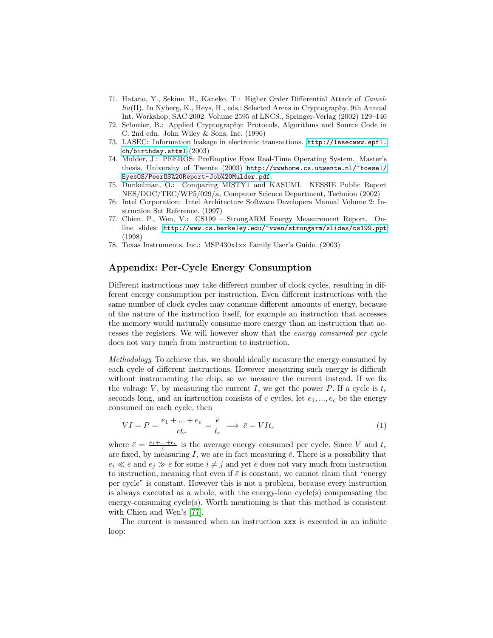- <span id="page-20-0"></span>71. Hatano, Y., Sekine, H., Kaneko, T.: Higher Order Differential Attack of Camellia(II). In Nyberg, K., Heys, H., eds.: Selected Areas in Cryptography. 9th Annual Int. Workshop, SAC 2002. Volume 2595 of LNCS., Springer-Verlag (2002) 129–146
- <span id="page-20-1"></span>72. Schneier, B.: Applied Cryptography: Protocols, Algorithms and Source Code in C. 2nd edn. John Wiley & Sons, Inc. (1996)
- <span id="page-20-2"></span>73. LASEC: Information leakage in electronic transactions. [http://lasecwww.epfl.](http://lasecwww.epfl.ch/birthday.shtml) [ch/birthday.shtml](http://lasecwww.epfl.ch/birthday.shtml) (2003)
- <span id="page-20-3"></span>74. Mulder, J.: PEEROS: PreEmptive Eyes Real-Time Operating System. Master's thesis, University of Twente (2003) [http://wwwhome.cs.utwente.nl/~hoesel/](http://wwwhome.cs.utwente.nl/~hoesel/EyesOS/PeerOS%20Report-Job%20Mulder.pdf) [EyesOS/PeerOS%20Report-Job%20Mulder.pdf](http://wwwhome.cs.utwente.nl/~hoesel/EyesOS/PeerOS%20Report-Job%20Mulder.pdf).
- <span id="page-20-4"></span>75. Dunkelman, O.: Comparing MISTY1 and KASUMI. NESSIE Public Report NES/DOC/TEC/WP5/029/a, Computer Science Department, Technion (2002)
- <span id="page-20-5"></span>76. Intel Corporation: Intel Architecture Software Developers Manual Volume 2: Instruction Set Reference. (1997)
- <span id="page-20-6"></span>77. Chien, P., Wen, V.: CS199 – StrongARM Energy Measurement Report. Online slides: <http://www.cs.berkeley.edu/~vwen/strongarm/slides/cs199.ppt> (1998)
- <span id="page-20-7"></span>78. Texas Instruments, Inc.: MSP430x1xx Family User's Guide. (2003)

# Appendix: Per-Cycle Energy Consumption

Different instructions may take different number of clock cycles, resulting in different energy consumption per instruction. Even different instructions with the same number of clock cycles may consume different amounts of energy, because of the nature of the instruction itself, for example an instruction that accesses the memory would naturally consume more energy than an instruction that accesses the registers. We will however show that the energy consumed per cycle does not vary much from instruction to instruction.

Methodology To achieve this, we should ideally measure the energy consumed by each cycle of different instructions. However measuring such energy is difficult without instrumenting the chip, so we measure the current instead. If we fix the voltage V, by measuring the current I, we get the power P. If a cycle is  $t_c$ seconds long, and an instruction consists of c cycles, let  $e_1, ..., e_c$  be the energy consumed on each cycle, then

$$
VI = P = \frac{e_1 + \dots + e_c}{ct_c} = \frac{\bar{e}}{t_c} \implies \bar{e} = VIt_c \tag{1}
$$

where  $\bar{e} = \frac{e_1 + ... + e_c}{c}$  is the average energy consumed per cycle. Since V and  $t_c$ are fixed, by measuring I, we are in fact measuring  $\bar{e}$ . There is a possibility that  $e_i \ll \bar{e}$  and  $e_j \gg \bar{e}$  for some  $i \neq j$  and yet  $\bar{e}$  does not vary much from instruction to instruction, meaning that even if  $\bar{e}$  is constant, we cannot claim that "energy per cycle" is constant. However this is not a problem, because every instruction is always executed as a whole, with the energy-lean cycle(s) compensating the energy-consuming cycle(s). Worth mentioning is that this method is consistent with Chien and Wen's [\[77\]](#page-20-6).

The current is measured when an instruction xxx is executed in an infinite loop: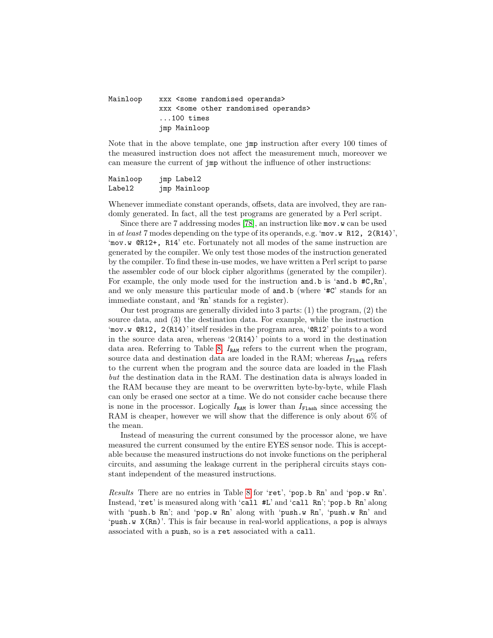# Mainloop xxx <some randomised operands> xxx <some other randomised operands> ...100 times jmp Mainloop

Note that in the above template, one jmp instruction after every 100 times of the measured instruction does not affect the measurement much, moreover we can measure the current of jmp without the influence of other instructions:

Mainloop jmp Label2 Label2 jmp Mainloop

Whenever immediate constant operands, offsets, data are involved, they are randomly generated. In fact, all the test programs are generated by a Perl script.

Since there are 7 addressing modes [\[78\]](#page-20-7), an instruction like mov.w can be used in at least 7 modes depending on the type of its operands, e.g. 'mov.w R12,  $2(R14)$ ', 'mov.w @R12+, R14' etc. Fortunately not all modes of the same instruction are generated by the compiler. We only test those modes of the instruction generated by the compiler. To find these in-use modes, we have written a Perl script to parse the assembler code of our block cipher algorithms (generated by the compiler). For example, the only mode used for the instruction and.b is 'and.b #C, Rn', and we only measure this particular mode of and b (where '#C' stands for an immediate constant, and 'Rn' stands for a register).

Our test programs are generally divided into 3 parts: (1) the program, (2) the source data, and (3) the destination data. For example, while the instruction 'mov.w @R12, 2(R14)' itself resides in the program area, '@R12' points to a word in the source data area, whereas '2(R14)' points to a word in the destination data area. Referring to Table [8,](#page-23-0)  $I_{\text{RAM}}$  refers to the current when the program, source data and destination data are loaded in the RAM; whereas  $I_{\text{Flash}}$  refers to the current when the program and the source data are loaded in the Flash but the destination data in the RAM. The destination data is always loaded in the RAM because they are meant to be overwritten byte-by-byte, while Flash can only be erased one sector at a time. We do not consider cache because there is none in the processor. Logically  $I_{\text{RAM}}$  is lower than  $I_{\text{Flash}}$  since accessing the RAM is cheaper, however we will show that the difference is only about 6% of the mean.

Instead of measuring the current consumed by the processor alone, we have measured the current consumed by the entire EYES sensor node. This is acceptable because the measured instructions do not invoke functions on the peripheral circuits, and assuming the leakage current in the peripheral circuits stays constant independent of the measured instructions.

Results There are no entries in Table [8](#page-23-0) for 'ret', 'pop.b Rn' and 'pop.w Rn'. Instead, 'ret' is measured along with 'call #L' and 'call Rn'; 'pop.b Rn' along with 'push.b Rn'; and 'pop.w Rn' along with 'push.w Rn', 'push.w Rn' and 'push.w X(Rn)'. This is fair because in real-world applications, a pop is always associated with a push, so is a ret associated with a call.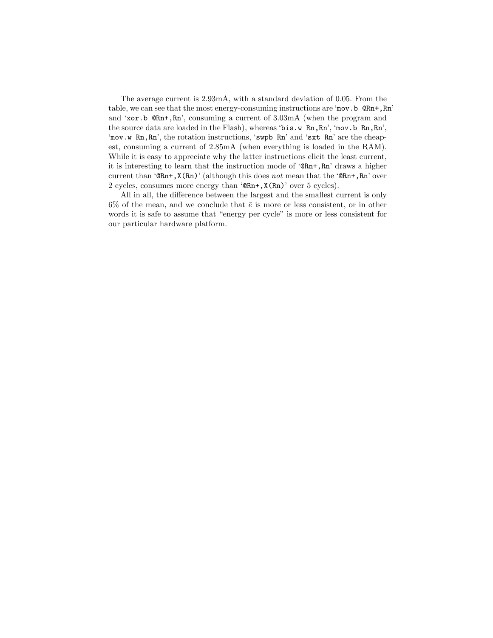The average current is 2.93mA, with a standard deviation of 0.05. From the table, we can see that the most energy-consuming instructions are 'mov.b  $\mathbb{QRn}$ +, Rn' and 'xor.b @Rn+,Rn', consuming a current of 3.03mA (when the program and the source data are loaded in the Flash), whereas 'bis.w Rn, Rn', 'mov.b Rn, Rn', 'mov.w Rn, Rn', the rotation instructions, 'swpb Rn' and 'sxt Rn' are the cheapest, consuming a current of 2.85mA (when everything is loaded in the RAM). While it is easy to appreciate why the latter instructions elicit the least current, it is interesting to learn that the instruction mode of '@Rn+,Rn' draws a higher current than ' $@Rn+$ ,  $X(Rn)'$  (although this does not mean that the ' $@Rn+$ ,  $Rn'$  over 2 cycles, consumes more energy than '@Rn+,X(Rn)' over 5 cycles).

All in all, the difference between the largest and the smallest current is only 6% of the mean, and we conclude that  $\bar{e}$  is more or less consistent, or in other words it is safe to assume that "energy per cycle" is more or less consistent for our particular hardware platform.